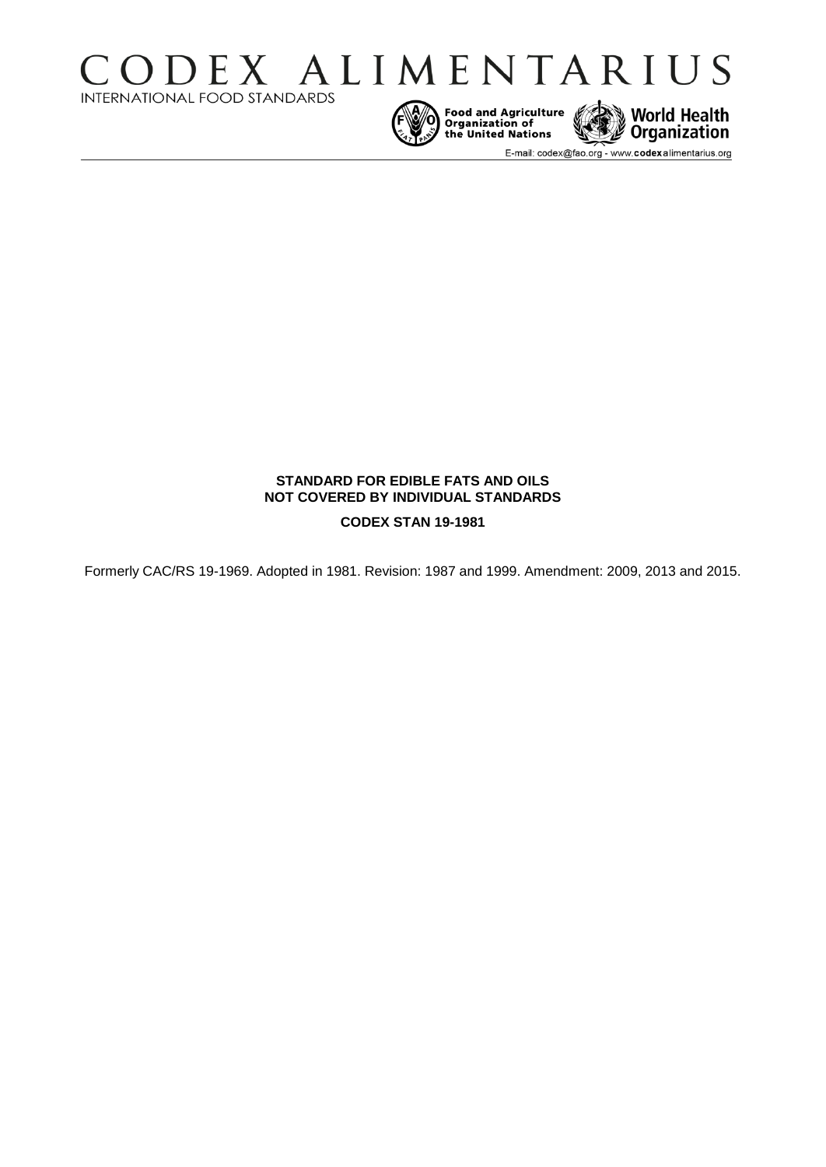



E-mail: codex@fao.org - www.codexalimentarius.org

**World Health**<br>Organization

# **STANDARD FOR EDIBLE FATS AND OILS NOT COVERED BY INDIVIDUAL STANDARDS**

**CODEX STAN 19-1981** 

Formerly CAC/RS 19-1969. Adopted in 1981. Revision: 1987 and 1999. Amendment: 2009, 2013 and 2015.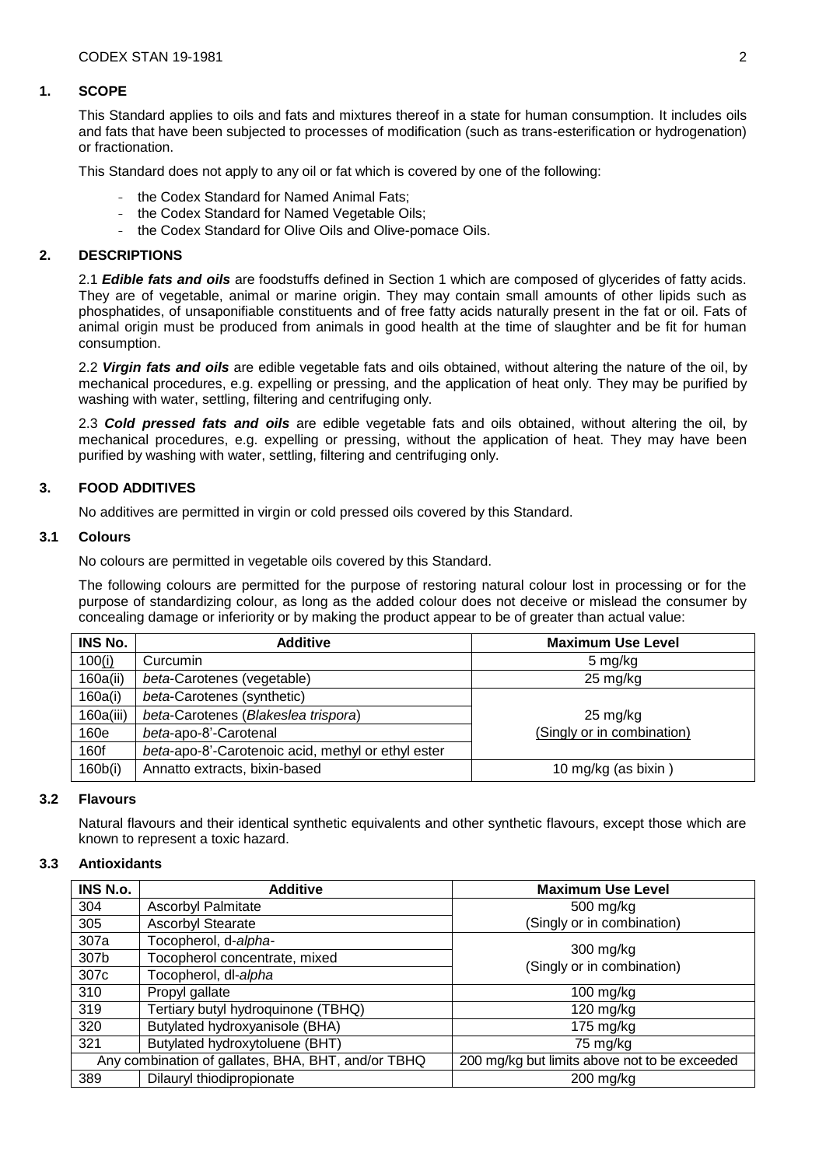### **1. SCOPE**

This Standard applies to oils and fats and mixtures thereof in a state for human consumption. It includes oils and fats that have been subjected to processes of modification (such as trans-esterification or hydrogenation) or fractionation.

This Standard does not apply to any oil or fat which is covered by one of the following:

- the Codex Standard for Named Animal Fats;
- the Codex Standard for Named Vegetable Oils;
- the Codex Standard for Olive Oils and Olive-pomace Oils.

# **2. DESCRIPTIONS**

2.1 *Edible fats and oils* are foodstuffs defined in Section 1 which are composed of glycerides of fatty acids. They are of vegetable, animal or marine origin. They may contain small amounts of other lipids such as phosphatides, of unsaponifiable constituents and of free fatty acids naturally present in the fat or oil. Fats of animal origin must be produced from animals in good health at the time of slaughter and be fit for human consumption.

2.2 *Virgin fats and oils* are edible vegetable fats and oils obtained, without altering the nature of the oil, by mechanical procedures, e.g. expelling or pressing, and the application of heat only. They may be purified by washing with water, settling, filtering and centrifuging only.

2.3 *Cold pressed fats and oils* are edible vegetable fats and oils obtained, without altering the oil, by mechanical procedures, e.g. expelling or pressing, without the application of heat. They may have been purified by washing with water, settling, filtering and centrifuging only.

# **3. FOOD ADDITIVES**

No additives are permitted in virgin or cold pressed oils covered by this Standard.

# **3.1 Colours**

No colours are permitted in vegetable oils covered by this Standard.

The following colours are permitted for the purpose of restoring natural colour lost in processing or for the purpose of standardizing colour, as long as the added colour does not deceive or mislead the consumer by concealing damage or inferiority or by making the product appear to be of greater than actual value:

| INS No.   | <b>Additive</b>                                    | <b>Maximum Use Level</b>   |
|-----------|----------------------------------------------------|----------------------------|
| 100(i)    | Curcumin                                           | 5 mg/kg                    |
| 160a(ii)  | beta-Carotenes (vegetable)                         | $25 \text{ mg/kg}$         |
| 160a(i)   | beta-Carotenes (synthetic)                         |                            |
| 160a(iii) | beta-Carotenes (Blakeslea trispora)                | $25 \text{ mg/kg}$         |
| 160e      | beta-apo-8'-Carotenal                              | (Singly or in combination) |
| 160f      | beta-apo-8'-Carotenoic acid, methyl or ethyl ester |                            |
| 160b(i)   | Annatto extracts, bixin-based                      | 10 mg/kg (as bixin)        |

### **3.2 Flavours**

Natural flavours and their identical synthetic equivalents and other synthetic flavours, except those which are known to represent a toxic hazard.

### **3.3 Antioxidants**

| INS N.o.                                           | <b>Additive</b>                    | <b>Maximum Use Level</b>                      |
|----------------------------------------------------|------------------------------------|-----------------------------------------------|
| 304                                                | <b>Ascorbyl Palmitate</b>          | 500 mg/kg                                     |
| 305                                                | <b>Ascorbyl Stearate</b>           | (Singly or in combination)                    |
| 307a                                               | Tocopherol, d-alpha-               | 300 mg/kg<br>(Singly or in combination)       |
| 307b                                               | Tocopherol concentrate, mixed      |                                               |
| 307 <sub>c</sub>                                   | Tocopherol, dl-alpha               |                                               |
| 310                                                | Propyl gallate                     | $100$ mg/kg                                   |
| 319                                                | Tertiary butyl hydroquinone (TBHQ) | $120$ mg/kg                                   |
| 320                                                | Butylated hydroxyanisole (BHA)     | 175 $mg/kg$                                   |
| 321                                                | Butylated hydroxytoluene (BHT)     | 75 mg/kg                                      |
| Any combination of gallates, BHA, BHT, and/or TBHQ |                                    | 200 mg/kg but limits above not to be exceeded |
| 389                                                | Dilauryl thiodipropionate          | $200$ mg/kg                                   |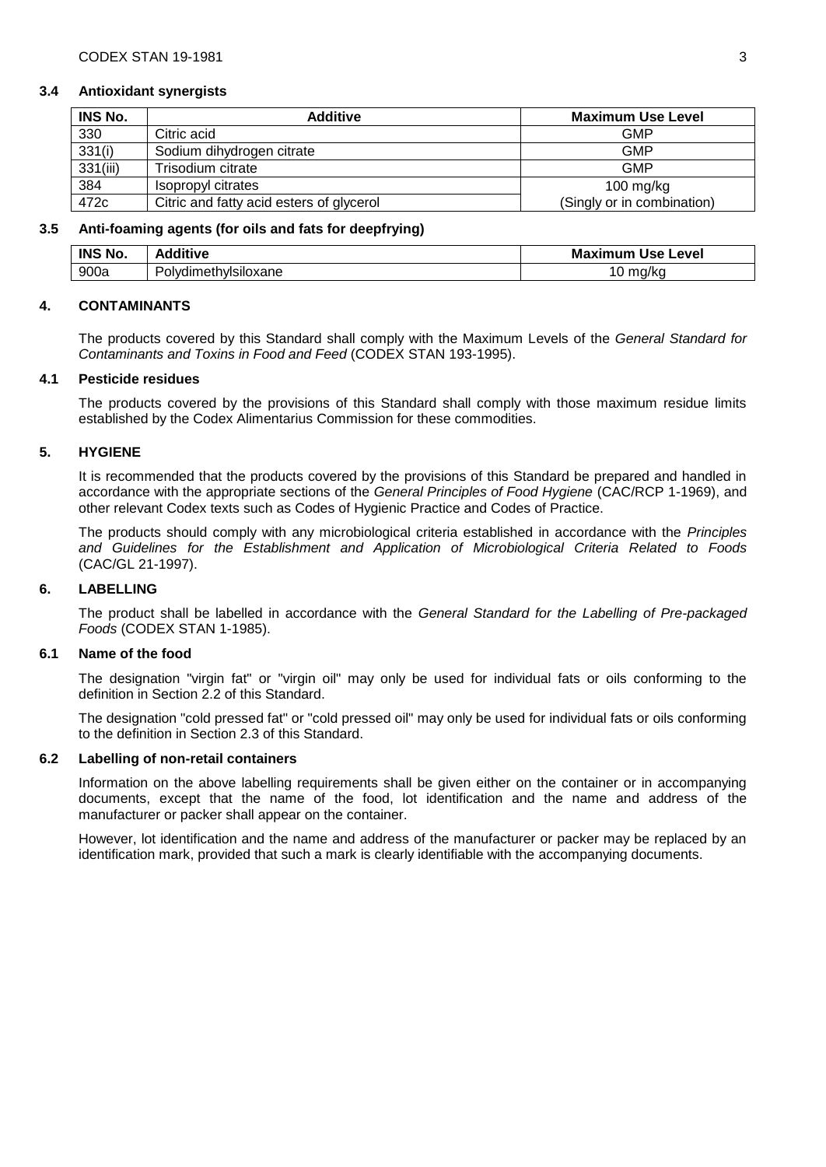#### **3.4 Antioxidant synergists**

| <b>INS No.</b> | <b>Additive</b>                          | <b>Maximum Use Level</b>   |
|----------------|------------------------------------------|----------------------------|
| 330            | Citric acid                              | <b>GMP</b>                 |
| 331(i)         | Sodium dihydrogen citrate                | <b>GMP</b>                 |
| 331(iii)       | Trisodium citrate                        | <b>GMP</b>                 |
| 384            | Isopropyl citrates                       | $100$ mg/kg                |
| 472c           | Citric and fatty acid esters of glycerol | (Singly or in combination) |

#### **3.5 Anti-foaming agents (for oils and fats for deepfrying)**

| <b>INS No</b><br>No. | dditive              | Maximum<br>Use Level |
|----------------------|----------------------|----------------------|
| 900a                 | olvdimethvisiloxane? | ma/<br>υ<br>'NU      |

#### **4. CONTAMINANTS**

The products covered by this Standard shall comply with the Maximum Levels of the *General Standard for Contaminants and Toxins in Food and Feed* (CODEX STAN 193-1995).

### **4.1 Pesticide residues**

The products covered by the provisions of this Standard shall comply with those maximum residue limits established by the Codex Alimentarius Commission for these commodities.

### **5. HYGIENE**

It is recommended that the products covered by the provisions of this Standard be prepared and handled in accordance with the appropriate sections of the *General Principles of Food Hygiene* (CAC/RCP 1-1969), and other relevant Codex texts such as Codes of Hygienic Practice and Codes of Practice.

The products should comply with any microbiological criteria established in accordance with the *Principles and Guidelines for the Establishment and Application of Microbiological Criteria Related to Foods* (CAC/GL 21-1997).

### **6. LABELLING**

The product shall be labelled in accordance with the *General Standard for the Labelling of Pre-packaged Foods* (CODEX STAN 1-1985).

### **6.1 Name of the food**

The designation "virgin fat" or "virgin oil" may only be used for individual fats or oils conforming to the definition in Section 2.2 of this Standard.

The designation "cold pressed fat" or "cold pressed oil" may only be used for individual fats or oils conforming to the definition in Section 2.3 of this Standard.

### **6.2 Labelling of non-retail containers**

Information on the above labelling requirements shall be given either on the container or in accompanying documents, except that the name of the food, lot identification and the name and address of the manufacturer or packer shall appear on the container.

However, lot identification and the name and address of the manufacturer or packer may be replaced by an identification mark, provided that such a mark is clearly identifiable with the accompanying documents.